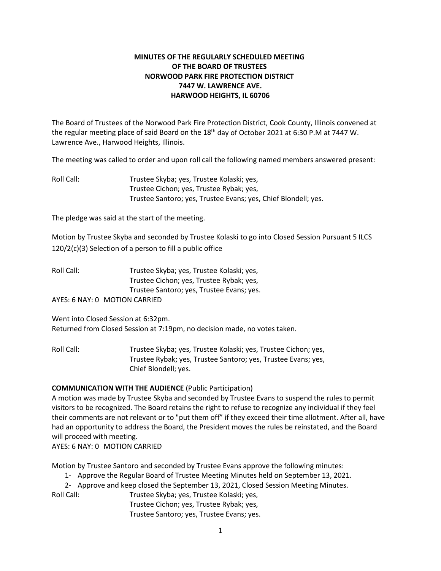# **MINUTES OF THE REGULARLY SCHEDULED MEETING OF THE BOARD OF TRUSTEES NORWOOD PARK FIRE PROTECTION DISTRICT 7447 W. LAWRENCE AVE. HARWOOD HEIGHTS, IL 60706**

The Board of Trustees of the Norwood Park Fire Protection District, Cook County, Illinois convened at the regular meeting place of said Board on the 18<sup>th</sup> day of October 2021 at 6:30 P.M at 7447 W. Lawrence Ave., Harwood Heights, Illinois.

The meeting was called to order and upon roll call the following named members answered present:

Roll Call: Trustee Skyba; yes, Trustee Kolaski; yes, Trustee Cichon; yes, Trustee Rybak; yes, Trustee Santoro; yes, Trustee Evans; yes, Chief Blondell; yes.

The pledge was said at the start of the meeting.

Motion by Trustee Skyba and seconded by Trustee Kolaski to go into Closed Session Pursuant 5 ILCS 120/2(c)(3) Selection of a person to fill a public office

Roll Call: Trustee Skyba; yes, Trustee Kolaski; yes, Trustee Cichon; yes, Trustee Rybak; yes, Trustee Santoro; yes, Trustee Evans; yes. AYES: 6 NAY: 0 MOTION CARRIED

Went into Closed Session at 6:32pm. Returned from Closed Session at 7:19pm, no decision made, no votes taken.

Roll Call: Trustee Skyba; yes, Trustee Kolaski; yes, Trustee Cichon; yes, Trustee Rybak; yes, Trustee Santoro; yes, Trustee Evans; yes, Chief Blondell; yes.

# **COMMUNICATION WITH THE AUDIENCE** (Public Participation)

A motion was made by Trustee Skyba and seconded by Trustee Evans to suspend the rules to permit visitors to be recognized. The Board retains the right to refuse to recognize any individual if they feel their comments are not relevant or to "put them off" if they exceed their time allotment. After all, have had an opportunity to address the Board, the President moves the rules be reinstated, and the Board will proceed with meeting.

AYES: 6 NAY: 0 MOTION CARRIED

Motion by Trustee Santoro and seconded by Trustee Evans approve the following minutes:

1- Approve the Regular Board of Trustee Meeting Minutes held on September 13, 2021.

2- Approve and keep closed the September 13, 2021, Closed Session Meeting Minutes.

Roll Call: Trustee Skyba; yes, Trustee Kolaski; yes,

Trustee Cichon; yes, Trustee Rybak; yes,

Trustee Santoro; yes, Trustee Evans; yes.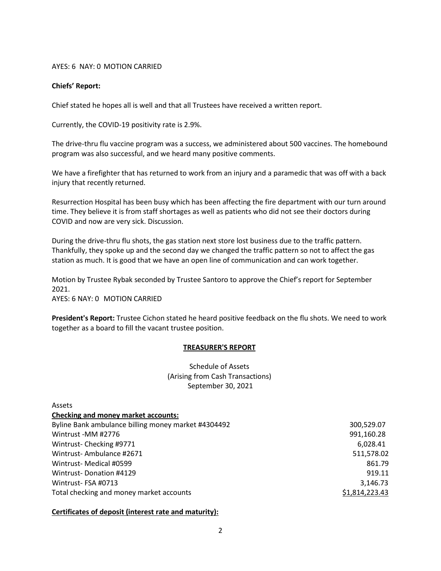#### AYES: 6 NAY: 0 MOTION CARRIED

### **Chiefs' Report:**

Chief stated he hopes all is well and that all Trustees have received a written report.

Currently, the COVID-19 positivity rate is 2.9%.

The drive-thru flu vaccine program was a success, we administered about 500 vaccines. The homebound program was also successful, and we heard many positive comments.

We have a firefighter that has returned to work from an injury and a paramedic that was off with a back injury that recently returned.

Resurrection Hospital has been busy which has been affecting the fire department with our turn around time. They believe it is from staff shortages as well as patients who did not see their doctors during COVID and now are very sick. Discussion.

During the drive-thru flu shots, the gas station next store lost business due to the traffic pattern. Thankfully, they spoke up and the second day we changed the traffic pattern so not to affect the gas station as much. It is good that we have an open line of communication and can work together.

Motion by Trustee Rybak seconded by Trustee Santoro to approve the Chief's report for September 2021.

AYES: 6 NAY: 0 MOTION CARRIED

Assets

**President's Report:** Trustee Cichon stated he heard positive feedback on the flu shots. We need to work together as a board to fill the vacant trustee position.

# **TREASURER'S REPORT**

Schedule of Assets (Arising from Cash Transactions) September 30, 2021

| <b>Checking and money market accounts:</b>          |                |
|-----------------------------------------------------|----------------|
| Byline Bank ambulance billing money market #4304492 | 300,529.07     |
| Wintrust -MM #2776                                  | 991,160.28     |
| Wintrust-Checking #9771                             | 6,028.41       |
| Wintrust-Ambulance #2671                            | 511,578.02     |
| Wintrust- Medical #0599                             | 861.79         |
| Wintrust-Donation #4129                             | 919.11         |
| Wintrust-FSA #0713                                  | 3,146.73       |
| Total checking and money market accounts            | \$1,814,223.43 |
|                                                     |                |

#### **Certificates of deposit (interest rate and maturity):**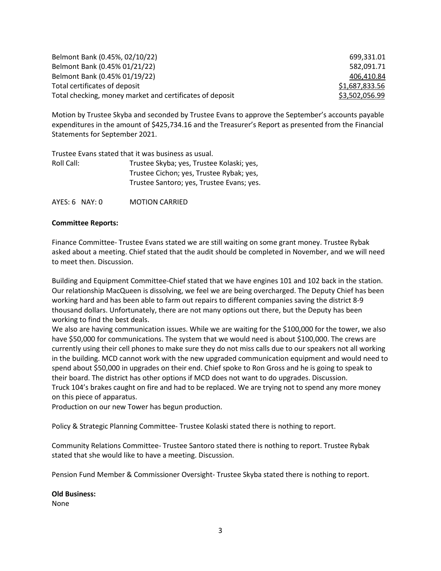| Belmont Bank (0.45%, 02/10/22)                           | 699.331.01     |
|----------------------------------------------------------|----------------|
| Belmont Bank (0.45% 01/21/22)                            | 582.091.71     |
| Belmont Bank (0.45% 01/19/22)                            | 406,410.84     |
| Total certificates of deposit                            | \$1,687,833.56 |
| Total checking, money market and certificates of deposit | \$3,502,056.99 |

Motion by Trustee Skyba and seconded by Trustee Evans to approve the September's accounts payable expenditures in the amount of \$425,734.16 and the Treasurer's Report as presented from the Financial Statements for September 2021.

|            | Trustee Evans stated that it was business as usual. |
|------------|-----------------------------------------------------|
| Roll Call: | Trustee Skyba; yes, Trustee Kolaski; yes,           |
|            | Trustee Cichon; yes, Trustee Rybak; yes,            |
|            | Trustee Santoro; yes, Trustee Evans; yes.           |
|            |                                                     |

AYES: 6 NAY: 0 MOTION CARRIED

### **Committee Reports:**

Finance Committee- Trustee Evans stated we are still waiting on some grant money. Trustee Rybak asked about a meeting. Chief stated that the audit should be completed in November, and we will need to meet then. Discussion.

Building and Equipment Committee-Chief stated that we have engines 101 and 102 back in the station. Our relationship MacQueen is dissolving, we feel we are being overcharged. The Deputy Chief has been working hard and has been able to farm out repairs to different companies saving the district 8-9 thousand dollars. Unfortunately, there are not many options out there, but the Deputy has been working to find the best deals.

We also are having communication issues. While we are waiting for the \$100,000 for the tower, we also have \$50,000 for communications. The system that we would need is about \$100,000. The crews are currently using their cell phones to make sure they do not miss calls due to our speakers not all working in the building. MCD cannot work with the new upgraded communication equipment and would need to spend about \$50,000 in upgrades on their end. Chief spoke to Ron Gross and he is going to speak to their board. The district has other options if MCD does not want to do upgrades. Discussion. Truck 104's brakes caught on fire and had to be replaced. We are trying not to spend any more money on this piece of apparatus.

Production on our new Tower has begun production.

Policy & Strategic Planning Committee- Trustee Kolaski stated there is nothing to report.

Community Relations Committee- Trustee Santoro stated there is nothing to report. Trustee Rybak stated that she would like to have a meeting. Discussion.

Pension Fund Member & Commissioner Oversight- Trustee Skyba stated there is nothing to report.

# **Old Business:**

None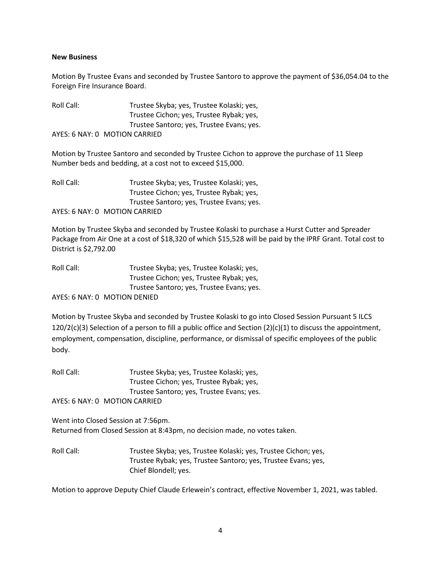#### **New Business**

Motion By Trustee Evans and seconded by Trustee Santoro to approve the payment of \$36,054.04 to the Foreign Fire Insurance Board.

Roll Call: Trustee Skyba; yes, Trustee Kolaski; yes, Trustee Cichon; yes, Trustee Rybak; yes, Trustee Santoro; yes, Trustee Evans; yes. AYES: 6 NAY: 0 MOTION CARRIED

Motion by Trustee Santoro and seconded by Trustee Cichon to approve the purchase of 11 Sleep Number beds and bedding, at a cost not to exceed \$15,000.

| Roll Call: | Trustee Skyba; yes, Trustee Kolaski; yes, |
|------------|-------------------------------------------|
|            | Trustee Cichon; yes, Trustee Rybak; yes,  |
|            | Trustee Santoro; yes, Trustee Evans; yes. |
|            | AYES: 6 NAY: 0 MOTION CARRIED             |

Motion by Trustee Skyba and seconded by Trustee Kolaski to purchase a Hurst Cutter and Spreader Package from Air One at a cost of \$18,320 of which \$15,528 will be paid by the IPRF Grant. Total cost to District is \$2,792.00

| Roll Call: | Trustee Skyba; yes, Trustee Kolaski; yes, |
|------------|-------------------------------------------|
|            | Trustee Cichon; yes, Trustee Rybak; yes,  |
|            | Trustee Santoro; yes, Trustee Evans; yes. |
|            | AVEC: C NAV. O ACCTION DENIED             |

AYES: 6 NAY: 0 MOTION DENIED

Motion by Trustee Skyba and seconded by Trustee Kolaski to go into Closed Session Pursuant 5 ILCS 120/2(c)(3) Selection of a person to fill a public office and Section (2)(c)(1) to discuss the appointment, employment, compensation, discipline, performance, or dismissal of specific employees of the public body.

Roll Call: Trustee Skyba; yes, Trustee Kolaski; yes, Trustee Cichon; yes, Trustee Rybak; yes, Trustee Santoro; yes, Trustee Evans; yes. AYES: 6 NAY: 0 MOTION CARRIED

Went into Closed Session at 7:56pm. Returned from Closed Session at 8:43pm, no decision made, no votes taken.

Roll Call: Trustee Skyba; yes, Trustee Kolaski; yes, Trustee Cichon; yes, Trustee Rybak; yes, Trustee Santoro; yes, Trustee Evans; yes, Chief Blondell; yes.

Motion to approve Deputy Chief Claude Erlewein's contract, effective November 1, 2021, was tabled.